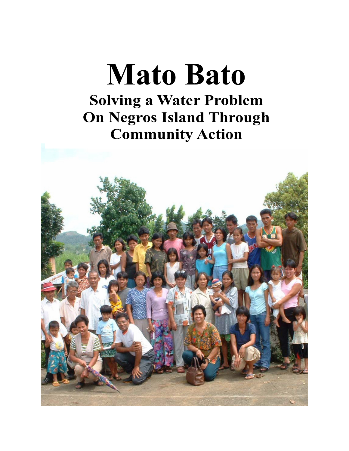# **Mato Bato Solving a Water Problem On Negros Island Through Community Action**

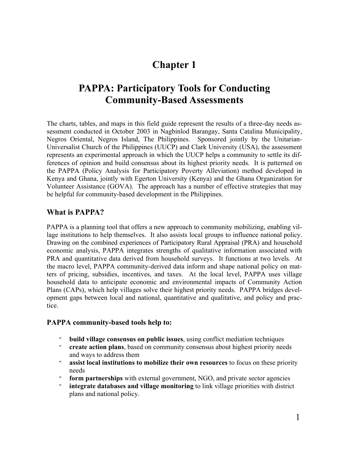## **Chapter 1**

### **PAPPA: Participatory Tools for Conducting Community-Based Assessments**

The charts, tables, and maps in this field guide represent the results of a three-day needs assessment conducted in October 2003 in Nagbinlod Barangay, Santa Catalina Municipality, Negros Oriental, Negros Island, The Philippines. Sponsored jointly by the Unitarian-Universalist Church of the Philippines (UUCP) and Clark University (USA), the assessment represents an experimental approach in which the UUCP helps a community to settle its differences of opinion and build consensus about its highest priority needs. It is patterned on the PAPPA (Policy Analysis for Participatory Poverty Alleviation) method developed in Kenya and Ghana, jointly with Egerton University (Kenya) and the Ghana Organization for Volunteer Assistance (GOVA). The approach has a number of effective strategies that may be helpful for community-based development in the Philippines.

#### **What is PAPPA?**

PAPPA is a planning tool that offers a new approach to community mobilizing, enabling village institutions to help themselves. It also assists local groups to influence national policy. Drawing on the combined experiences of Participatory Rural Appraisal (PRA) and household economic analysis, PAPPA integrates strengths of qualitative information associated with PRA and quantitative data derived from household surveys. It functions at two levels. At the macro level, PAPPA community-derived data inform and shape national policy on matters of pricing, subsidies, incentives, and taxes. At the local level, PAPPA uses village household data to anticipate economic and environmental impacts of Community Action Plans (CAPs), which help villages solve their highest priority needs. PAPPA bridges development gaps between local and national, quantitative and qualitative, and policy and practice.

#### **PAPPA community-based tools help to:**

- " **build village consensus on public issues**, using conflict mediation techniques
- " **create action plans**, based on community consensus about highest priority needs and ways to address them
- " **assist local institutions to mobilize their own resources** to focus on these priority needs
- form partnerships with external government, NGO, and private sector agencies
- **integrate databases and village monitoring** to link village priorities with district plans and national policy.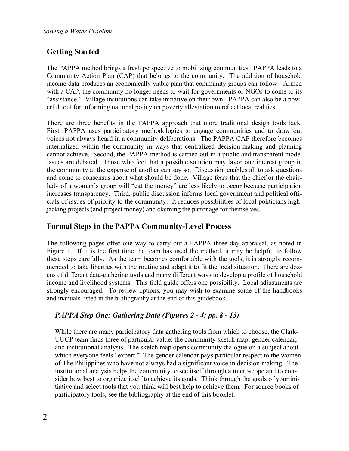#### **Getting Started**

The PAPPA method brings a fresh perspective to mobilizing communities. PAPPA leads to a Community Action Plan (CAP) that belongs to the community. The addition of household income data produces an economically viable plan that community groups can follow. Armed with a CAP, the community no longer needs to wait for governments or NGOs to come to its "assistance." Village institutions can take initiative on their own. PAPPA can also be a powerful tool for informing national policy on poverty alleviation to reflect local realities.

There are three benefits in the PAPPA approach that more traditional design tools lack. First, PAPPA uses participatory methodologies to engage communities and to draw out voices not always heard in a community deliberations. The PAPPA CAP therefore becomes internalized within the community in ways that centralized decision-making and planning cannot achieve. Second, the PAPPA method is carried out in a public and transparent mode. Issues are debated. Those who feel that a possible solution may favor one interest group in the community at the expense of another can say so. Discussion enables all to ask questions and come to consensus about what should be done. Village fears that the chief or the chairlady of a woman's group will "eat the money" are less likely to occur because participation increases transparency. Third, public discussion informs local government and political officials of issues of priority to the community. It reduces possibilities of local politicians highjacking projects (and project money) and claiming the patronage for themselves.

#### **Formal Steps in the PAPPA Community-Level Process**

The following pages offer one way to carry out a PAPPA three-day appraisal, as noted in Figure 1. If it is the first time the team has used the method, it may be helpful to follow these steps carefully. As the team becomes comfortable with the tools, it is strongly recommended to take liberties with the routine and adapt it to fit the local situation. There are dozens of different data-gathering tools and many different ways to develop a profile of household income and livelihood systems. This field guide offers one possibility. Local adjustments are strongly encouraged. To review options, you may wish to examine some of the handbooks and manuals listed in the bibliography at the end of this guidebook.

#### *PAPPA Step One: Gathering Data (Figures 2 - 4; pp. 8 - 13)*

While there are many participatory data gathering tools from which to choose, the Clark-UUCP team finds three of particular value: the community sketch map, gender calendar, and institutional analysis. The sketch map opens community dialogue on a subject about which everyone feels "expert." The gender calendar pays particular respect to the women of The Philippines who have not always had a significant voice in decision making. The institutional analysis helps the community to see itself through a microscope and to consider how best to organize itself to achieve its goals. Think through the goals of your initiative and select tools that you think will best help to achieve them. For source books of participatory tools, see the bibliography at the end of this booklet.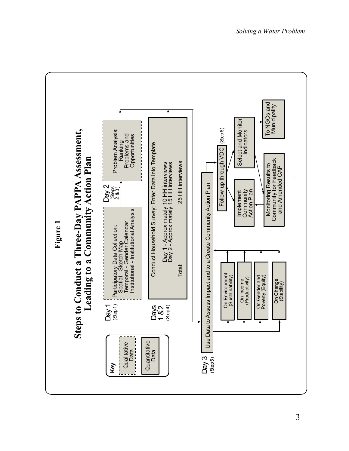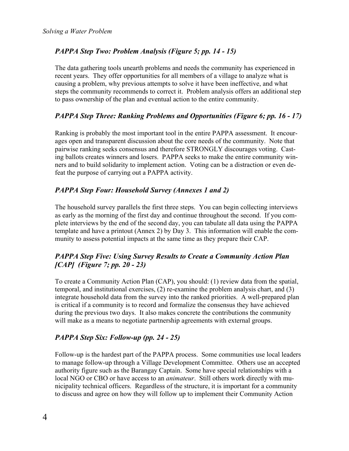#### *PAPPA Step Two: Problem Analysis (Figure 5; pp. 14 - 15)*

The data gathering tools unearth problems and needs the community has experienced in recent years. They offer opportunities for all members of a village to analyze what is causing a problem, why previous attempts to solve it have been ineffective, and what steps the community recommends to correct it. Problem analysis offers an additional step to pass ownership of the plan and eventual action to the entire community.

#### *PAPPA Step Three: Ranking Problems and Opportunities (Figure 6; pp. 16 - 17)*

Ranking is probably the most important tool in the entire PAPPA assessment. It encourages open and transparent discussion about the core needs of the community. Note that pairwise ranking seeks consensus and therefore STRONGLY discourages voting. Casting ballots creates winners and losers. PAPPA seeks to make the entire community winners and to build solidarity to implement action. Voting can be a distraction or even defeat the purpose of carrying out a PAPPA activity.

#### *PAPPA Step Four: Household Survey (Annexes 1 and 2)*

The household survey parallels the first three steps. You can begin collecting interviews as early as the morning of the first day and continue throughout the second. If you complete interviews by the end of the second day, you can tabulate all data using the PAPPA template and have a printout (Annex 2) by Day 3. This information will enable the community to assess potential impacts at the same time as they prepare their CAP.

#### *PAPPA Step Five: Using Survey Results to Create a Community Action Plan [CAP] (Figure 7; pp. 20 - 23)*

To create a Community Action Plan (CAP), you should: (1) review data from the spatial, temporal, and institutional exercises, (2) re-examine the problem analysis chart, and (3) integrate household data from the survey into the ranked priorities. A well-prepared plan is critical if a community is to record and formalize the consensus they have achieved during the previous two days. It also makes concrete the contributions the community will make as a means to negotiate partnership agreements with external groups.

#### *PAPPA Step Six: Follow-up (pp. 24 - 25)*

Follow-up is the hardest part of the PAPPA process. Some communities use local leaders to manage follow-up through a Village Development Committee. Others use an accepted authority figure such as the Barangay Captain. Some have special relationships with a local NGO or CBO or have access to an *animateur*. Still others work directly with municipality technical officers. Regardless of the structure, it is important for a community to discuss and agree on how they will follow up to implement their Community Action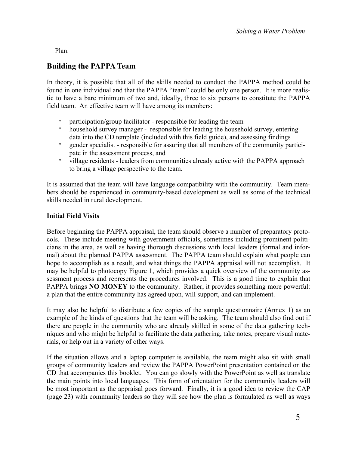Plan.

#### **Building the PAPPA Team**

In theory, it is possible that all of the skills needed to conduct the PAPPA method could be found in one individual and that the PAPPA "team" could be only one person. It is more realistic to have a bare minimum of two and, ideally, three to six persons to constitute the PAPPA field team. An effective team will have among its members:

- participation/group facilitator responsible for leading the team
- " household survey manager responsible for leading the household survey, entering data into the CD template (included with this field guide), and assessing findings
- " gender specialist responsible for assuring that all members of the community participate in the assessment process, and
- " village residents leaders from communities already active with the PAPPA approach to bring a village perspective to the team.

It is assumed that the team will have language compatibility with the community. Team members should be experienced in community-based development as well as some of the technical skills needed in rural development.

#### **Initial Field Visits**

Before beginning the PAPPA appraisal, the team should observe a number of preparatory protocols. These include meeting with government officials, sometimes including prominent politicians in the area, as well as having thorough discussions with local leaders (formal and informal) about the planned PAPPA assessment. The PAPPA team should explain what people can hope to accomplish as a result, and what things the PAPPA appraisal will not accomplish. It may be helpful to photocopy Figure 1, which provides a quick overview of the community assessment process and represents the procedures involved. This is a good time to explain that PAPPA brings **NO MONEY** to the community. Rather, it provides something more powerful: a plan that the entire community has agreed upon, will support, and can implement.

It may also be helpful to distribute a few copies of the sample questionnaire (Annex 1) as an example of the kinds of questions that the team will be asking. The team should also find out if there are people in the community who are already skilled in some of the data gathering techniques and who might be helpful to facilitate the data gathering, take notes, prepare visual materials, or help out in a variety of other ways.

If the situation allows and a laptop computer is available, the team might also sit with small groups of community leaders and review the PAPPA PowerPoint presentation contained on the CD that accompanies this booklet. You can go slowly with the PowerPoint as well as translate the main points into local languages. This form of orientation for the community leaders will be most important as the appraisal goes forward. Finally, it is a good idea to review the CAP (page 23) with community leaders so they will see how the plan is formulated as well as ways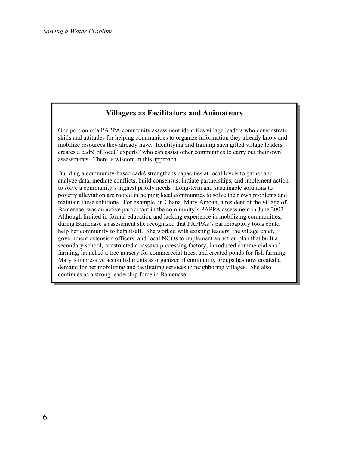#### **Villagers as Facilitators and Animateurs**

One portion of a PAPPA community assessment identifies village leaders who demonstrate skills and attitudes for helping communities to organize information they already know and mobilize resources they already have. Identifying and training such gifted village leaders creates a cadré of local "experts" who can assist other communties to carry out their own assessments. There is wisdom in this approach.

Building a community-based cadré strengthens capacities at local levels to gather and analyze data, mediate conflicts, build consensus, initiate partnerships, and implement action to solve a community's highest prioity needs. Long-term and sustainable solutions to poverty alleviation are rooted in helping local communties to solve their own problems and maintain these solutions. For example, in Ghana, Mary Amoah, a resident of the village of Bamenase, was an active participant in the community's PAPPA assessment in June 2002. Although limited in formal education and lacking experience in mobilizing communities, during Bamenase's assessment she recognized that PAPPAs's participaptory tools could help her community to help itself. She worked with existing leaders, the village chief, government extension officers, and local NGOs to implement an action plan that built a secondary school, constructed a cassava processing factory, introduced commercial snail farming, launched a tree nursery for commerecial trees, and created ponds for fish farming. Mary's impressive accomlishments as organizer of community groups has now created a demand for her mobilizing and facilitating services in neighboring villages. She also continues as a strong leadership force in Bamenase.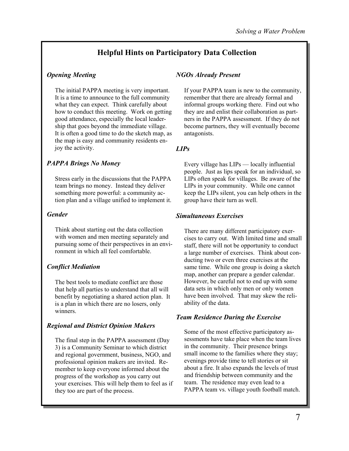#### **Helpful Hints on Participatory Data Collection**

#### *Opening Meeting*

The initial PAPPA meeting is very important. It is a time to announce to the full community what they can expect. Think carefully about how to conduct this meeting. Work on getting good attendance, especially the local leadership that goes beyond the immediate village. It is often a good time to do the sketch map, as the map is easy and community residents enjoy the activity.

#### *PAPPA Brings No Money*

Stress early in the discussions that the PAPPA team brings no money. Instead they deliver something more powerful: a community action plan and a village unified to implement it.

#### *Gender*

Think about starting out the data collection with women and men meeting separately and pursuing some of their perspectives in an environment in which all feel comfortable.

#### *Conflict Mediation*

The best tools to mediate conflict are those that help all parties to understand that all will benefit by negotiating a shared action plan. It is a plan in which there are no losers, only winners.

#### *Regional and District Opinion Makers*

The final step in the PAPPA assessment (Day 3) is a Community Seminar to which district and regional government, business, NGO, and professional opinion makers are invited. Remember to keep everyone informed about the progress of the workshop as you carry out your exercises. This will help them to feel as if they too are part of the process.

#### *NGOs Already Present*

If your PAPPA team is new to the community, remember that there are already formal and informal groups working there. Find out who they are and enlist their collaboration as partners in the PAPPA assessment. If they do not become partners, they will eventually become antagonists.

#### *LIPs*

Every village has LIPs — locally influential people. Just as lips speak for an individual, so LIPs often speak for villages. Be aware of the LIPs in your community. While one cannot keep the LIPs silent, you can help others in the group have their turn as well.

#### *Simultaneous Exercises*

There are many different participatory exercises to carry out. With limited time and small staff, there will not be opportunity to conduct a large number of exercises. Think about conducting two or even three exercises at the same time. While one group is doing a sketch map, another can prepare a gender calendar. However, be careful not to end up with some data sets in which only men or only women have been involved. That may skew the reliability of the data.

#### *Team Residence During the Exercise*

Some of the most effective participatory assessments have take place when the team lives in the community. Their presence brings small income to the families where they stay; evenings provide time to tell stories or sit about a fire. It also expands the levels of trust and friendship between community and the team. The residence may even lead to a PAPPA team vs. village youth football match.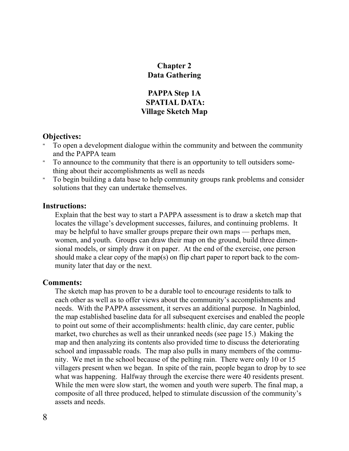#### **Chapter 2 Data Gathering**

**PAPPA Step 1A SPATIAL DATA: Village Sketch Map** 

#### **Objectives:**

- " To open a development dialogue within the community and between the community and the PAPPA team
- " To announce to the community that there is an opportunity to tell outsiders something about their accomplishments as well as needs
- " To begin building a data base to help community groups rank problems and consider solutions that they can undertake themselves.

#### **Instructions:**

Explain that the best way to start a PAPPA assessment is to draw a sketch map that locates the village's development successes, failures, and continuing problems. It may be helpful to have smaller groups prepare their own maps — perhaps men, women, and youth. Groups can draw their map on the ground, build three dimensional models, or simply draw it on paper. At the end of the exercise, one person should make a clear copy of the map(s) on flip chart paper to report back to the community later that day or the next.

#### **Comments:**

The sketch map has proven to be a durable tool to encourage residents to talk to each other as well as to offer views about the community's accomplishments and needs. With the PAPPA assessment, it serves an additional purpose. In Nagbinlod, the map established baseline data for all subsequent exercises and enabled the people to point out some of their accomplishments: health clinic, day care center, public market, two churches as well as their unranked needs (see page 15.) Making the map and then analyzing its contents also provided time to discuss the deteriorating school and impassable roads. The map also pulls in many members of the community. We met in the school because of the pelting rain. There were only 10 or 15 villagers present when we began. In spite of the rain, people began to drop by to see what was happening. Halfway through the exercise there were 40 residents present. While the men were slow start, the women and youth were superb. The final map, a composite of all three produced, helped to stimulate discussion of the community's assets and needs.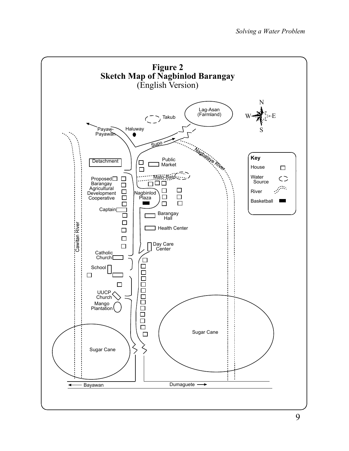![](_page_9_Figure_1.jpeg)

9 9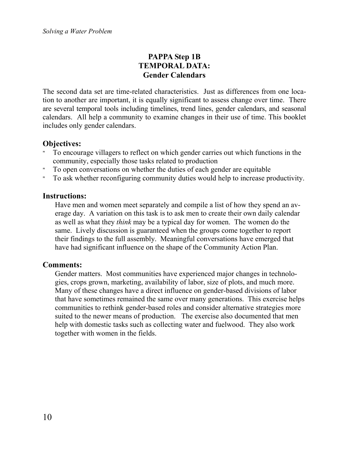#### **PAPPA Step 1B TEMPORAL DATA: Gender Calendars**

 tion to another are important, it is equally significant to assess change over time. There The second data set are time-related characteristics. Just as differences from one locaare several temporal tools including timelines, trend lines, gender calendars, and seasonal calendars. All help a community to examine changes in their use of time. This booklet includes only gender calendars.

#### **Objectives:**

- " To encourage villagers to reflect on which gender carries out which functions in the community, especially those tasks related to production
- To open conversations on whether the duties of each gender are equitable
- " To ask whether reconfiguring community duties would help to increase productivity.

#### **Instructions:**

Have men and women meet separately and compile a list of how they spend an average day. A variation on this task is to ask men to create their own daily calendar as well as what they *think* may be a typical day for women. The women do the same. Lively discussion is guaranteed when the groups come together to report their findings to the full assembly. Meaningful conversations have emerged that have had significant influence on the shape of the Community Action Plan.

#### **Comments:**

Gender matters. Most communities have experienced major changes in technologies, crops grown, marketing, availability of labor, size of plots, and much more. Many of these changes have a direct influence on gender-based divisions of labor that have sometimes remained the same over many generations. This exercise helps communities to rethink gender-based roles and consider alternative strategies more suited to the newer means of production. The exercise also documented that men help with domestic tasks such as collecting water and fuelwood. They also work together with women in the fields.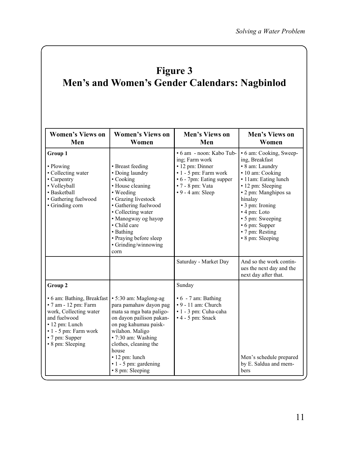# **Figure 3 Men's and Women's Gender Calendars: Nagbinlod**

| <b>Women's Views on</b><br>Men                                                                                                                                                                 | <b>Women's Views on</b><br>Women                                                                                                                                                                                                                                                       | Men's Views on<br>Men                                                                                                                                                         | Men's Views on<br>Women                                                                                                                                                                                                                                                          |
|------------------------------------------------------------------------------------------------------------------------------------------------------------------------------------------------|----------------------------------------------------------------------------------------------------------------------------------------------------------------------------------------------------------------------------------------------------------------------------------------|-------------------------------------------------------------------------------------------------------------------------------------------------------------------------------|----------------------------------------------------------------------------------------------------------------------------------------------------------------------------------------------------------------------------------------------------------------------------------|
| Group 1<br>• Plowing<br>• Collecting water<br>• Carpentry<br>• Volleyball<br>• Basketball<br>• Gathering fuelwood<br>• Grinding corn                                                           | • Breast feeding<br>• Doing laundry<br>• Cooking<br>• House cleaning<br>• Weeding<br>• Grazing livestock<br>• Gathering fuelwood<br>• Collecting water<br>• Manogway og hayop<br>• Child care<br>• Bathing<br>• Praying before sleep<br>• Grinding/winnowing<br>corn                   | • 6 am - noon: Kabo Tub-<br>ing; Farm work<br>• 12 pm: Dinner<br>$\cdot$ 1 - 5 pm: Farm work<br>• 6 - 7pm: Eating supper<br>$\cdot$ 7 - 8 pm: Vata<br>$\cdot$ 9 - 4 am: Sleep | • 6 am: Cooking, Sweep-<br>ing, Breakfast<br>• 8 am: Laundry<br>· 10 am: Cooking<br>· 11am: Eating lunch<br>• 12 pm: Sleeping<br>· 2 pm: Manghipos sa<br>hinalay<br>• 3 pm: Ironing<br>• 4 pm: Loto<br>• 5 pm: Sweeping<br>• 6 pm: Supper<br>• 7 pm: Resting<br>• 8 pm: Sleeping |
|                                                                                                                                                                                                |                                                                                                                                                                                                                                                                                        | Saturday - Market Day                                                                                                                                                         | And so the work contin-<br>ues the next day and the<br>next day after that.                                                                                                                                                                                                      |
| Group 2<br>• 6 am: Bathing, Breakfast<br>$\cdot$ 7 am - 12 pm: Farm<br>work, Collecting water<br>and fuelwood<br>• 12 pm: Lunch<br>• 1 - 5 pm: Farm work<br>• 7 pm: Supper<br>• 8 pm: Sleeping | • 5:30 am: Maglong-ag<br>para pamahaw dayon pag<br>mata sa mga bata paligo-<br>on dayon pailison pakan-<br>on pag kahumau paisk-<br>wilahon. Maligo<br>• 7:30 am: Washing<br>clothes, cleaning the<br>house<br>$\cdot$ 12 pm: lunch<br>$\cdot$ 1 - 5 pm: gardening<br>• 8 pm: Sleeping | Sunday<br>$\cdot$ 6 - 7 am: Bathing<br>$\cdot$ 9 - 11 am: Church<br>· 1 - 3 pm: Cuha-caha<br>$\cdot$ 4 - 5 pm: Snack                                                          | Men's schedule prepared<br>by E. Saldua and mem-<br>bers                                                                                                                                                                                                                         |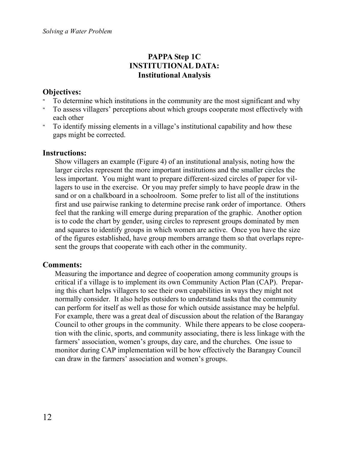#### **PAPPA Step 1C INSTITUTIONAL DATA: Institutional Analysis**

#### **Objectives:**

- To determine which institutions in the community are the most significant and why
- " To assess villagers' perceptions about which groups cooperate most effectively with each other
- " To identify missing elements in a village's institutional capability and how these gaps might be corrected.

#### **Instructions:**

Show villagers an example (Figure 4) of an institutional analysis, noting how the larger circles represent the more important institutions and the smaller circles the less important. You might want to prepare different-sized circles of paper for villagers to use in the exercise. Or you may prefer simply to have people draw in the sand or on a chalkboard in a schoolroom. Some prefer to list all of the institutions first and use pairwise ranking to determine precise rank order of importance. Others feel that the ranking will emerge during preparation of the graphic. Another option is to code the chart by gender, using circles to represent groups dominated by men and squares to identify groups in which women are active. Once you have the size of the figures established, have group members arrange them so that overlaps represent the groups that cooperate with each other in the community.

#### **Comments:**

Measuring the importance and degree of cooperation among community groups is critical if a village is to implement its own Community Action Plan (CAP). Preparing this chart helps villagers to see their own capabilities in ways they might not normally consider. It also helps outsiders to understand tasks that the community can perform for itself as well as those for which outside assistance may be helpful. For example, there was a great deal of discussion about the relation of the Barangay Council to other groups in the community. While there appears to be close cooperation with the clinic, sports, and community associating, there is less linkage with the farmers' association, women's groups, day care, and the churches. One issue to monitor during CAP implementation will be how effectively the Barangay Council can draw in the farmers' association and women's groups.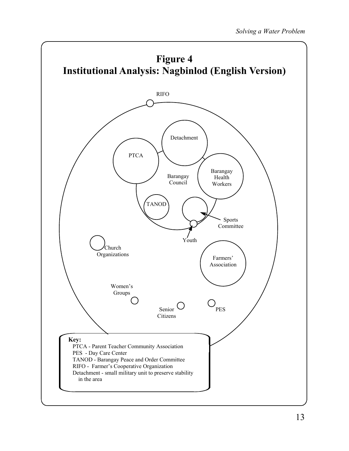![](_page_13_Figure_1.jpeg)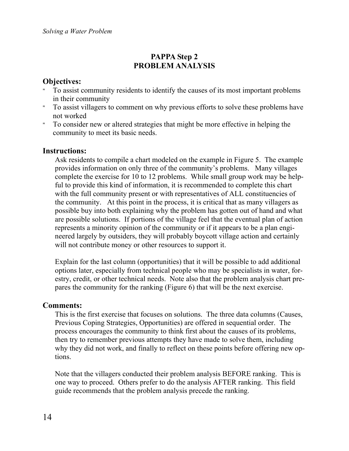#### **PAPPA Step 2 PROBLEM ANALYSIS**

#### **Objectives:**

- " To assist community residents to identify the causes of its most important problems in their community
- " To assist villagers to comment on why previous efforts to solve these problems have not worked
- " To consider new or altered strategies that might be more effective in helping the community to meet its basic needs.

#### **Instructions:**

Ask residents to compile a chart modeled on the example in Figure 5. The example provides information on only three of the community's problems. Many villages complete the exercise for 10 to 12 problems. While small group work may be helpful to provide this kind of information, it is recommended to complete this chart with the full community present or with representatives of ALL constituencies of the community. At this point in the process, it is critical that as many villagers as possible buy into both explaining why the problem has gotten out of hand and what are possible solutions. If portions of the village feel that the eventual plan of action represents a minority opinion of the community or if it appears to be a plan engineered largely by outsiders, they will probably boycott village action and certainly will not contribute money or other resources to support it.

Explain for the last column (opportunities) that it will be possible to add additional options later, especially from technical people who may be specialists in water, forestry, credit, or other technical needs. Note also that the problem analysis chart prepares the community for the ranking (Figure 6) that will be the next exercise.

#### **Comments:**

This is the first exercise that focuses on solutions. The three data columns (Causes, Previous Coping Strategies, Opportunities) are offered in sequential order. The process encourages the community to think first about the causes of its problems, then try to remember previous attempts they have made to solve them, including why they did not work, and finally to reflect on these points before offering new options.

Note that the villagers conducted their problem analysis BEFORE ranking. This is one way to proceed. Others prefer to do the analysis AFTER ranking. This field guide recommends that the problem analysis precede the ranking.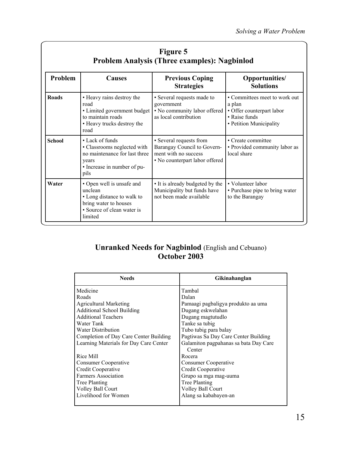|               |                                                                                                                                      | Figure 5<br><b>Problem Analysis (Three examples): Nagbinlod</b>                                                  |                                                                                                                  |
|---------------|--------------------------------------------------------------------------------------------------------------------------------------|------------------------------------------------------------------------------------------------------------------|------------------------------------------------------------------------------------------------------------------|
| Problem       | <b>Causes</b>                                                                                                                        | <b>Previous Coping</b><br><b>Strategies</b>                                                                      | Opportunities/<br><b>Solutions</b>                                                                               |
| Roads         | • Heavy rains destroy the<br>road<br>• Limited government budget<br>to maintain roads<br>• Heavy trucks destroy the<br>road          | • Several requests made to<br>government<br>• No community labor offered<br>as local contribution                | • Committees meet to work out<br>a plan<br>• Offer counterpart labor<br>• Raise funds<br>• Petition Municipality |
| <b>School</b> | • Lack of funds<br>• Classrooms neglected with<br>no maintenance for last three<br>years<br>• Increase in number of pu-<br>pils      | • Several requests from<br>Barangay Council to Govern-<br>ment with no success<br>• No counterpart labor offered | • Create committee<br>• Provided community labor as<br>local share                                               |
| Water         | • Open well is unsafe and<br>unclean<br>• Long distance to walk to<br>bring water to houses<br>• Source of clean water is<br>limited | • It is already budgeted by the<br>Municipality but funds have<br>not been made available                        | • Volunteer labor<br>• Purchase pipe to bring water<br>to the Barangay                                           |

#### **Unranked Needs for Nagbinlod** (English and Cebuano) **October 2003**

| <b>Needs</b>                           | Gikinahanglan                         |
|----------------------------------------|---------------------------------------|
| Medicine                               | Tambal                                |
| Roads                                  | Dalan                                 |
| <b>Agricultural Marketing</b>          | Pamaagi pagbaligya produkto aa uma    |
| <b>Additional School Building</b>      | Dugang eskwelahan                     |
| <b>Additional Teachers</b>             | Dugang magtutudlo                     |
| Water Tank                             | Tanke sa tubig                        |
| <b>Water Distribution</b>              | Tubo tubig para balay                 |
| Completion of Day Care Center Building | Pagtiwas Sa Day Care Center Building  |
| Learning Materials for Day Care Center | Galamiton pagpahanas sa bata Day Care |
|                                        | Center                                |
| Rice Mill                              | Rocera                                |
| <b>Consumer Cooperative</b>            | Consumer Cooperative                  |
| Credit Cooperative                     | Credit Cooperative                    |
| <b>Farmers Association</b>             | Grupo sa mga mag-uuma                 |
| Tree Planting                          | Tree Planting                         |
| Volley Ball Court                      | Volley Ball Court                     |
| Livelihood for Women                   | Alang sa kababayen-an                 |
|                                        |                                       |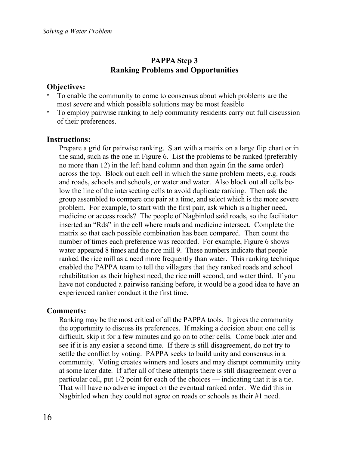#### **PAPPA Step 3 Ranking Problems and Opportunities**

#### **Objectives:**

- " To enable the community to come to consensus about which problems are the most severe and which possible solutions may be most feasible
- " To employ pairwise ranking to help community residents carry out full discussion of their preferences.

#### **Instructions:**

Prepare a grid for pairwise ranking. Start with a matrix on a large flip chart or in the sand, such as the one in Figure 6. List the problems to be ranked (preferably no more than 12) in the left hand column and then again (in the same order) across the top. Block out each cell in which the same problem meets, e.g. roads and roads, schools and schools, or water and water. Also block out all cells below the line of the intersecting cells to avoid duplicate ranking. Then ask the group assembled to compare one pair at a time, and select which is the more severe problem. For example, to start with the first pair, ask which is a higher need, medicine or access roads? The people of Nagbinlod said roads, so the facilitator inserted an "Rds" in the cell where roads and medicine intersect. Complete the matrix so that each possible combination has been compared. Then count the number of times each preference was recorded. For example, Figure 6 shows water appeared 8 times and the rice mill 9. These numbers indicate that people ranked the rice mill as a need more frequently than water. This ranking technique enabled the PAPPA team to tell the villagers that they ranked roads and school rehabilitation as their highest need, the rice mill second, and water third. If you have not conducted a pairwise ranking before, it would be a good idea to have an experienced ranker conduct it the first time.

#### **Comments:**

Ranking may be the most critical of all the PAPPA tools. It gives the community the opportunity to discuss its preferences. If making a decision about one cell is difficult, skip it for a few minutes and go on to other cells. Come back later and see if it is any easier a second time. If there is still disagreement, do not try to settle the conflict by voting. PAPPA seeks to build unity and consensus in a community. Voting creates winners and losers and may disrupt community unity at some later date. If after all of these attempts there is still disagreement over a particular cell, put 1/2 point for each of the choices — indicating that it is a tie. That will have no adverse impact on the eventual ranked order. We did this in Nagbinlod when they could not agree on roads or schools as their #1 need.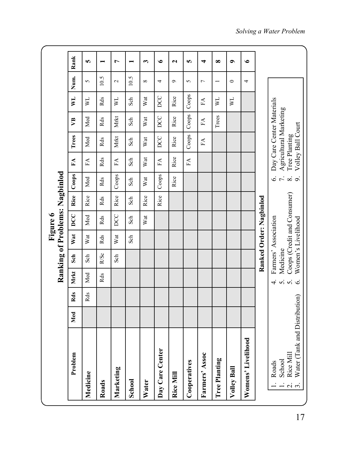|                                                                              |     |     |           | Ranking of Problems: Nagbinlod                                                        |     | Figure 6 |      |                                                                 |            |                                                                                           |                  |              |                          |                |
|------------------------------------------------------------------------------|-----|-----|-----------|---------------------------------------------------------------------------------------|-----|----------|------|-----------------------------------------------------------------|------------|-------------------------------------------------------------------------------------------|------------------|--------------|--------------------------|----------------|
| Problem                                                                      | Med | Rds | Mrkt      | Sch                                                                                   | Wat | DCC      | Rice | Coops                                                           | FA         | Trees                                                                                     | <b>SZ</b>        | $\mathbf{N}$ | Num.                     | Rank           |
| Medicine                                                                     |     | Rds | Med       | Sch                                                                                   | Wat | Med      | Rice | Med                                                             | ${\rm FA}$ | Med                                                                                       | Med              | $\mathbb N$  | $\sigma$                 | 5              |
| Roads                                                                        |     |     | Rds       | <b>R/Sc</b>                                                                           | Rds | Rds      | Rds  | Rds                                                             | Rds        | Rds                                                                                       | Rds              | Rds          | 10.5                     |                |
| Marketing                                                                    |     |     |           | Sch                                                                                   | Wat | DCC      | Rice | Coops                                                           | FA         | Mrkt                                                                                      | Mrkt             | $\mathbb N$  | $\mathbf{C}$             | $\overline{ }$ |
| School                                                                       |     |     |           |                                                                                       | Sch | Sch      | Sch  | Sch                                                             | Sch        | Sch                                                                                       | Sch              | Sch          | 10.5                     |                |
| Water                                                                        |     |     |           |                                                                                       |     | Wat      | Rice | Wat                                                             | Wat        | Wat                                                                                       | Wat              | Wat          | $\infty$                 | 3              |
| Day Care Center                                                              |     |     |           |                                                                                       |     |          | Rice | Coops                                                           | ${\rm FA}$ | DCC                                                                                       | DCC              | DCC          | 4                        | $\bullet$      |
| Rice Mill                                                                    |     |     |           |                                                                                       |     |          |      | Rice                                                            | Rice       | Rice                                                                                      | Rice             | Rice         | $\mathbf 0$              | $\mathbf{r}$   |
| Cooperatives                                                                 |     |     |           |                                                                                       |     |          |      |                                                                 | FA         | Coops                                                                                     | Coops            | Coops        | 5                        | 5              |
| Farmers' Assoc                                                               |     |     |           |                                                                                       |     |          |      |                                                                 |            | ${\rm F}\Lambda$                                                                          | ${\rm F}\Lambda$ | FA           | 7                        | 4              |
| Tree Planting                                                                |     |     |           |                                                                                       |     |          |      |                                                                 |            |                                                                                           | Trees            | $\mathbb N$  | $\overline{\phantom{0}}$ | $\infty$       |
| Volley Ball                                                                  |     |     |           |                                                                                       |     |          |      |                                                                 |            |                                                                                           |                  | <b>N</b>     | $\circ$                  | $\bullet$      |
| Womens' Livelihood                                                           |     |     |           |                                                                                       |     |          |      |                                                                 |            |                                                                                           |                  |              | 4                        | $\bullet$      |
|                                                                              |     |     |           | Ranked Order: Nagbinlod                                                               |     |          |      |                                                                 |            |                                                                                           |                  |              |                          |                |
| Water (Tank and Distribution)<br>Rice Mill<br>School<br>Roads<br>$\alpha$ in |     |     | 556<br>4. | Coops (Credit and Consumer)<br>Farmers' Association<br>Women's Livelihood<br>Medicine |     |          |      | $\boldsymbol{\mathcal{L}}$<br>$\mathbf{6}$<br>$\infty$ $\infty$ |            | Day Care Center Materials<br>Agricultural Marketing<br>Volley Ball Court<br>Tree Planting |                  |              |                          |                |
|                                                                              |     |     |           |                                                                                       |     |          |      |                                                                 |            |                                                                                           |                  |              |                          |                |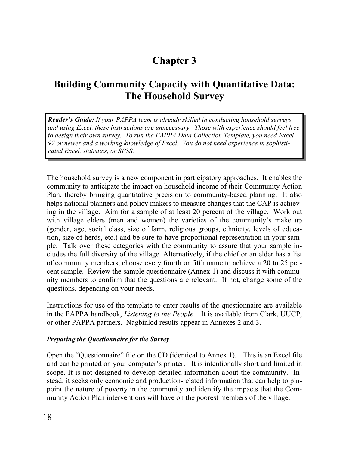# **Chapter 3**

## **Building Community Capacity with Quantitative Data: The Household Survey**

*Reader's Guide: If your PAPPA team is already skilled in conducting household surveys and using Excel, these instructions are unnecessary. Those with experience should feel free to design their own survey. To run the PAPPA Data Collection Template, you need Excel 97 or newer and a working knowledge of Excel. You do not need experience in sophisticated Excel, statistics, or SPSS.* 

The household survey is a new component in participatory approaches. It enables the community to anticipate the impact on household income of their Community Action Plan, thereby bringing quantitative precision to community-based planning. It also helps national planners and policy makers to measure changes that the CAP is achieving in the village. Aim for a sample of at least 20 percent of the village. Work out with village elders (men and women) the varieties of the community's make up (gender, age, social class, size of farm, religious groups, ethnicity, levels of education, size of herds, etc.) and be sure to have proportional representation in your sample. Talk over these categories with the community to assure that your sample includes the full diversity of the village. Alternatively, if the chief or an elder has a list of community members, choose every fourth or fifth name to achieve a 20 to 25 percent sample. Review the sample questionnaire (Annex 1) and discuss it with community members to confirm that the questions are relevant. If not, change some of the questions, depending on your needs.

Instructions for use of the template to enter results of the questionnaire are available in the PAPPA handbook, *Listening to the People*. It is available from Clark, UUCP, or other PAPPA partners. Nagbinlod results appear in Annexes 2 and 3.

#### *Preparing the Questionnaire for the Survey*

Open the "Questionnaire" file on the CD (identical to Annex 1). This is an Excel file and can be printed on your computer's printer. It is intentionally short and limited in scope. It is not designed to develop detailed information about the community. Instead, it seeks only economic and production-related information that can help to pinpoint the nature of poverty in the community and identify the impacts that the Community Action Plan interventions will have on the poorest members of the village.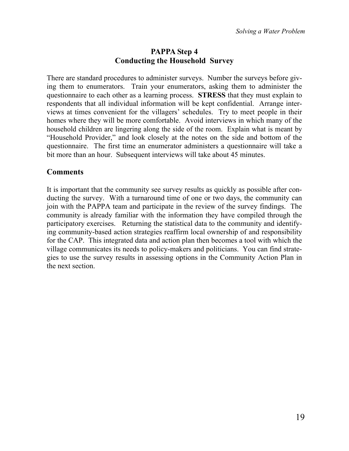#### **PAPPA Step 4 Conducting the Household Survey**

There are standard procedures to administer surveys. Number the surveys before giving them to enumerators. Train your enumerators, asking them to administer the questionnaire to each other as a learning process. **STRESS** that they must explain to respondents that all individual information will be kept confidential. Arrange interviews at times convenient for the villagers' schedules. Try to meet people in their homes where they will be more comfortable. Avoid interviews in which many of the household children are lingering along the side of the room. Explain what is meant by "Household Provider," and look closely at the notes on the side and bottom of the questionnaire. The first time an enumerator administers a questionnaire will take a bit more than an hour. Subsequent interviews will take about 45 minutes.

#### **Comments**

It is important that the community see survey results as quickly as possible after conducting the survey. With a turnaround time of one or two days, the community can join with the PAPPA team and participate in the review of the survey findings. The community is already familiar with the information they have compiled through the participatory exercises. Returning the statistical data to the community and identifying community-based action strategies reaffirm local ownership of and responsibility for the CAP. This integrated data and action plan then becomes a tool with which the village communicates its needs to policy-makers and politicians. You can find strategies to use the survey results in assessing options in the Community Action Plan in the next section.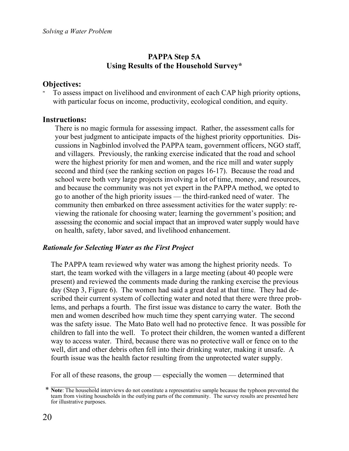#### **PAPPA Step 5A Using Results of the Household Survey\***

#### **Objectives:**

To assess impact on livelihood and environment of each CAP high priority options, with particular focus on income, productivity, ecological condition, and equity.

#### **Instructions:**

There is no magic formula for assessing impact. Rather, the assessment calls for your best judgment to anticipate impacts of the highest priority opportunities. Discussions in Nagbinlod involved the PAPPA team, government officers, NGO staff, and villagers. Previously, the ranking exercise indicated that the road and school were the highest priority for men and women, and the rice mill and water supply second and third (see the ranking section on pages 16-17). Because the road and school were both very large projects involving a lot of time, money, and resources, and because the community was not yet expert in the PAPPA method, we opted to go to another of the high priority issues — the third-ranked need of water. The community then embarked on three assessment activities for the water supply: reviewing the rationale for choosing water; learning the government's position; and assessing the economic and social impact that an improved water supply would have on health, safety, labor saved, and livelihood enhancement.

#### *Rationale for Selecting Water as the First Project*

The PAPPA team reviewed why water was among the highest priority needs. To start, the team worked with the villagers in a large meeting (about 40 people were present) and reviewed the comments made during the ranking exercise the previous day (Step 3, Figure 6). The women had said a great deal at that time. They had described their current system of collecting water and noted that there were three problems, and perhaps a fourth. The first issue was distance to carry the water. Both the men and women described how much time they spent carrying water. The second was the safety issue. The Mato Bato well had no protective fence. It was possible for children to fall into the well. To protect their children, the women wanted a different way to access water. Third, because there was no protective wall or fence on to the well, dirt and other debris often fell into their drinking water, making it unsafe. A fourth issue was the health factor resulting from the unprotected water supply.

For all of these reasons, the group — especially the women — determined that

**Note:** The household interviews do not constitute a representative sample because the typhoon prevented the team from visiting households in the outlying parts of the community. The survey results are presented here for illustrative purposes.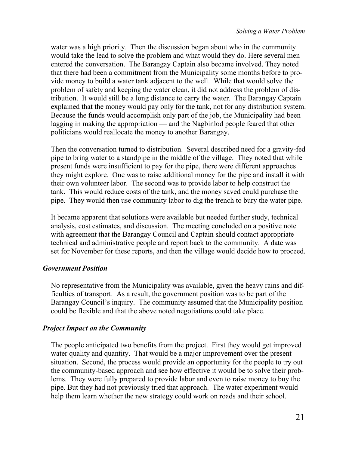water was a high priority. Then the discussion began about who in the community would take the lead to solve the problem and what would they do. Here several men entered the conversation. The Barangay Captain also became involved. They noted that there had been a commitment from the Municipality some months before to provide money to build a water tank adjacent to the well. While that would solve the problem of safety and keeping the water clean, it did not address the problem of distribution. It would still be a long distance to carry the water. The Barangay Captain explained that the money would pay only for the tank, not for any distribution system. Because the funds would accomplish only part of the job, the Municipality had been lagging in making the appropriation — and the Nagbinlod people feared that other politicians would reallocate the money to another Barangay.

Then the conversation turned to distribution. Several described need for a gravity-fed pipe to bring water to a standpipe in the middle of the village. They noted that while present funds were insufficient to pay for the pipe, there were different approaches they might explore. One was to raise additional money for the pipe and install it with their own volunteer labor. The second was to provide labor to help construct the tank. This would reduce costs of the tank, and the money saved could purchase the pipe. They would then use community labor to dig the trench to bury the water pipe.

It became apparent that solutions were available but needed further study, technical analysis, cost estimates, and discussion. The meeting concluded on a positive note with agreement that the Barangay Council and Captain should contact appropriate technical and administrative people and report back to the community. A date was set for November for these reports, and then the village would decide how to proceed.

#### *Government Position*

No representative from the Municipality was available, given the heavy rains and difficulties of transport. As a result, the government position was to be part of the Barangay Council's inquiry. The community assumed that the Municipality position could be flexible and that the above noted negotiations could take place.

#### *Project Impact on the Community*

The people anticipated two benefits from the project. First they would get improved water quality and quantity. That would be a major improvement over the present situation. Second, the process would provide an opportunity for the people to try out the community-based approach and see how effective it would be to solve their problems. They were fully prepared to provide labor and even to raise money to buy the pipe. But they had not previously tried that approach. The water experiment would help them learn whether the new strategy could work on roads and their school.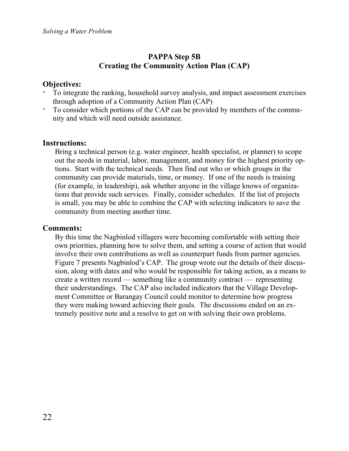#### **PAPPA Step 5B Creating the Community Action Plan (CAP)**

#### **Objectives:**

- To integrate the ranking, household survey analysis, and impact assessment exercises through adoption of a Community Action Plan (CAP)
- " To consider which portions of the CAP can be provided by members of the community and which will need outside assistance.

#### **Instructions:**

Bring a technical person (e.g. water engineer, health specialist, or planner) to scope out the needs in material, labor, management, and money for the highest priority options. Start with the technical needs. Then find out who or which groups in the community can provide materials, time, or money. If one of the needs is training (for example, in leadership), ask whether anyone in the village knows of organizations that provide such services. Finally, consider schedules. If the list of projects is small, you may be able to combine the CAP with selecting indicators to save the community from meeting another time.

#### **Comments:**

By this time the Nagbinlod villagers were becoming comfortable with setting their own priorities, planning how to solve them, and setting a course of action that would involve their own contributions as well as counterpart funds from partner agencies. Figure 7 presents Nagbinlod's CAP. The group wrote out the details of their discussion, along with dates and who would be responsible for taking action, as a means to create a written record — something like a community contract — representing their understandings. The CAP also included indicators that the Village Development Committee or Barangay Council could monitor to determine how progress they were making toward achieving their goals. The discussions ended on an extremely positive note and a resolve to get on with solving their own problems.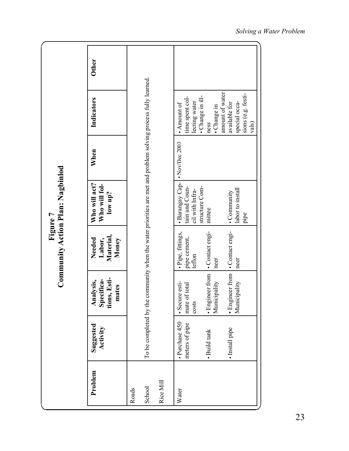|        |           |                                  |                                                  | Figure 7                                    | Community Action Plan: Nagbinlod                     |                                   |                                                                                                               |              |
|--------|-----------|----------------------------------|--------------------------------------------------|---------------------------------------------|------------------------------------------------------|-----------------------------------|---------------------------------------------------------------------------------------------------------------|--------------|
|        | Problem   | Suggested<br>Activity            | tions, Esti-<br>Specifica-<br>Analysis,<br>mates | Material,<br>Money<br>Needed<br>Labor,      | Who will act?<br>Who will fol-<br>low up?            | When                              | Indicators                                                                                                    | <b>Other</b> |
| Roads  |           |                                  |                                                  |                                             |                                                      |                                   |                                                                                                               |              |
| School |           |                                  |                                                  |                                             |                                                      |                                   | To be completed by the community when the water priorities are met and problem solving process fully learned. |              |
|        | Rice Mill |                                  |                                                  |                                             |                                                      |                                   |                                                                                                               |              |
| Water  |           | · Purchase 450<br>meters of pipe | · Secure esti-<br>mate of total<br>costs         | · Pipe, fittings,<br>pipe cement,<br>teflon | · Barangay Cap-<br>tain and Coun-<br>cil with Infra- | $\boldsymbol{\cdot}$ Nov/Dec 2003 | time spent col-<br>lecting water<br>• Amount of                                                               |              |
|        |           | · Build tank                     | · Engineer from<br>Municipality                  | •Contact engi-<br>neer                      | structure Com-<br>mittee                             |                                   | · Change in ill-<br>· Change in<br>ness                                                                       |              |
|        |           | · Install pipe                   | · Engineer from<br>Municipality                  | • Contact engi-<br>neer                     | labor to install<br>· Community<br>pipe              |                                   | amount of water<br>sions (e.g. festi-<br>special occa-<br>available for<br>vals)                              |              |
|        |           |                                  |                                                  |                                             |                                                      |                                   |                                                                                                               |              |
|        |           |                                  |                                                  |                                             |                                                      |                                   |                                                                                                               |              |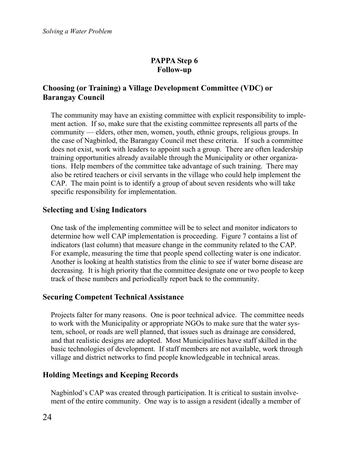*Solving a Water Problem* 

#### **PAPPA Step 6 Follow-up**

#### **Choosing (or Training) a Village Development Committee (VDC) or Barangay Council**

The community may have an existing committee with explicit responsibility to implement action. If so, make sure that the existing committee represents all parts of the community — elders, other men, women, youth, ethnic groups, religious groups. In the case of Nagbinlod, the Barangay Council met these criteria. If such a committee does not exist, work with leaders to appoint such a group. There are often leadership training opportunities already available through the Municipality or other organizations. Help members of the committee take advantage of such training. There may also be retired teachers or civil servants in the village who could help implement the CAP. The main point is to identify a group of about seven residents who will take specific responsibility for implementation.

#### **Selecting and Using Indicators**

One task of the implementing committee will be to select and monitor indicators to determine how well CAP implementation is proceeding. Figure 7 contains a list of indicators (last column) that measure change in the community related to the CAP. For example, measuring the time that people spend collecting water is one indicator. Another is looking at health statistics from the clinic to see if water borne disease are decreasing. It is high priority that the committee designate one or two people to keep track of these numbers and periodically report back to the community.

#### **Securing Competent Technical Assistance**

Projects falter for many reasons. One is poor technical advice. The committee needs to work with the Municipality or appropriate NGOs to make sure that the water system, school, or roads are well planned, that issues such as drainage are considered, and that realistic designs are adopted. Most Municipalities have staff skilled in the basic technologies of development. If staff members are not available, work through village and district networks to find people knowledgeable in technical areas.

#### **Holding Meetings and Keeping Records**

Nagbinlod's CAP was created through participation. It is critical to sustain involvement of the entire community. One way is to assign a resident (ideally a member of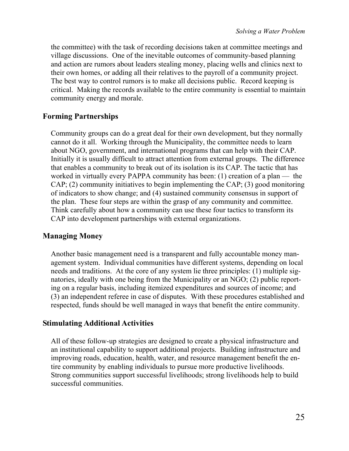the committee) with the task of recording decisions taken at committee meetings and village discussions. One of the inevitable outcomes of community-based planning and action are rumors about leaders stealing money, placing wells and clinics next to their own homes, or adding all their relatives to the payroll of a community project. The best way to control rumors is to make all decisions public. Record keeping is critical. Making the records available to the entire community is essential to maintain community energy and morale.

#### **Forming Partnerships**

Community groups can do a great deal for their own development, but they normally cannot do it all. Working through the Municipality, the committee needs to learn about NGO, government, and international programs that can help with their CAP. Initially it is usually difficult to attract attention from external groups. The difference that enables a community to break out of its isolation is its CAP. The tactic that has worked in virtually every PAPPA community has been: (1) creation of a plan — the CAP; (2) community initiatives to begin implementing the CAP; (3) good monitoring of indicators to show change; and (4) sustained community consensus in support of the plan. These four steps are within the grasp of any community and committee. Think carefully about how a community can use these four tactics to transform its CAP into development partnerships with external organizations.

#### **Managing Money**

Another basic management need is a transparent and fully accountable money management system. Individual communities have different systems, depending on local needs and traditions. At the core of any system lie three principles: (1) multiple signatories, ideally with one being from the Municipality or an NGO; (2) public reporting on a regular basis, including itemized expenditures and sources of income; and (3) an independent referee in case of disputes. With these procedures established and respected, funds should be well managed in ways that benefit the entire community.

#### **Stimulating Additional Activities**

All of these follow-up strategies are designed to create a physical infrastructure and an institutional capability to support additional projects. Building infrastructure and improving roads, education, health, water, and resource management benefit the entire community by enabling individuals to pursue more productive livelihoods. Strong communities support successful livelihoods; strong livelihoods help to build successful communities.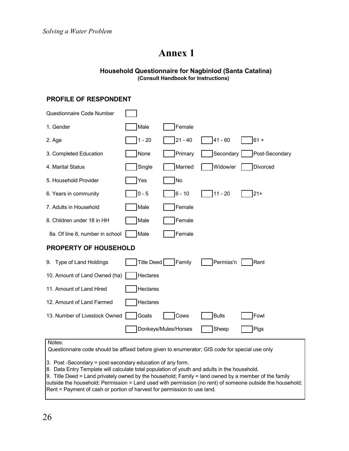### **Annex 1**

#### **Household Questionnaire for Nagbinlod (Santa Catalina) (Consult Handbook for Instructions)**

#### **PROFILE OF RESPONDENT**

| Questionnaire Code Number       |                 |                      |              |                |
|---------------------------------|-----------------|----------------------|--------------|----------------|
| 1. Gender                       | Male            | Female               |              |                |
| 2. Age                          | $1 - 20$        | $21 - 40$            | 41 - 60      | $61 +$         |
| 3. Completed Education          | None            | Primary              | Secondary    | Post-Secondary |
| 4. Marital Status               | Single          | Married              | Widow/er     | Divorced       |
| 5. Household Provider           | Yes             | <b>No</b>            |              |                |
| 6. Years in community           | $0 - 5$         | $6 - 10$             | $11 - 20$    | $21 +$         |
| 7. Adults in Household          | Male            | Female               |              |                |
| 8. Children under 18 in HH      | Male            | Female               |              |                |
| 8a. Of line 8, number in school | Male            | Female               |              |                |
| <b>PROPERTY OF HOUSEHOLD</b>    |                 |                      |              |                |
| 9. Type of Land Holdings        | Title Deed      | Family               | Permiss'n    | Rent           |
| 10. Amount of Land Owned (ha)   | <b>Hectares</b> |                      |              |                |
| 11. Amount of Land Hired        | Hectares        |                      |              |                |
| 12. Amount of Land Farmed       | Hectares        |                      |              |                |
| 13. Number of Livestock Owned   | Goats           | Cows                 | <b>Bulls</b> | Fowl           |
|                                 |                 | Donkeys/Mules/Horses | Sheep        | Pigs           |

#### Notes:

Questionnaire code should be affixed before given to enumerator; GIS code for special use only

3. Post -Secondary = post-secondary education of any form.

8. Data Entry Template will calculate total population of youth and adults in the household.

9. Title Deed = Land privately owned by the household; Family = land owned by a member of the family outside the household; Permission = Land used with permission (no rent) of someone outside the household; Rent = Payment of cash or portion of harvest for permission to use land.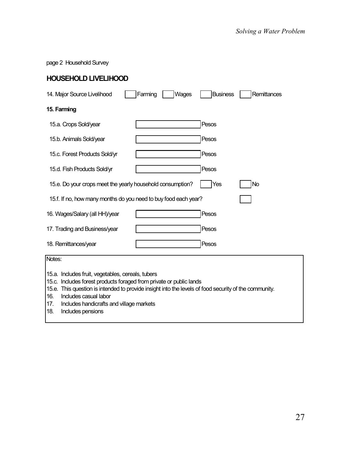page 2 Household Survey

|  | <b>HOUSEHOLD LIVELIHOOD</b> |
|--|-----------------------------|
|--|-----------------------------|

| 14. Major Source Livelihood                                                                                                                                                                                                                                                                                                            | Farming<br>Wages | <b>Business</b> | Remittances |
|----------------------------------------------------------------------------------------------------------------------------------------------------------------------------------------------------------------------------------------------------------------------------------------------------------------------------------------|------------------|-----------------|-------------|
| 15. Farming                                                                                                                                                                                                                                                                                                                            |                  |                 |             |
| 15.a. Crops Sold/year                                                                                                                                                                                                                                                                                                                  |                  | Pesos           |             |
| 15.b. Animals Sold/year                                                                                                                                                                                                                                                                                                                |                  | Pesos           |             |
| 15.c. Forest Products Sold/yr                                                                                                                                                                                                                                                                                                          |                  | Pesos           |             |
| 15.d. Fish Products Sold/yr                                                                                                                                                                                                                                                                                                            |                  | Pesos           |             |
| 15.e. Do your crops meet the yearly household consumption?                                                                                                                                                                                                                                                                             |                  | Yes             | No          |
| 15.f. If no, how many months do you need to buy food each year?                                                                                                                                                                                                                                                                        |                  |                 |             |
| 16. Wages/Salary (all HH)/year                                                                                                                                                                                                                                                                                                         |                  | Pesos           |             |
| 17. Trading and Business/year                                                                                                                                                                                                                                                                                                          |                  | Pesos           |             |
| 18. Remittances/year                                                                                                                                                                                                                                                                                                                   |                  | Pesos           |             |
| Notes:                                                                                                                                                                                                                                                                                                                                 |                  |                 |             |
| 15.a. Includes fruit, vegetables, cereals, tubers<br>15.c. Includes forest products foraged from private or public lands<br>15.e. This question is intended to provide insight into the levels of food security of the community.<br>Includes casual labor<br>16.<br>Includes handicrafts and village markets<br>17.<br>$\overline{ }$ |                  |                 |             |

18. Includes pensions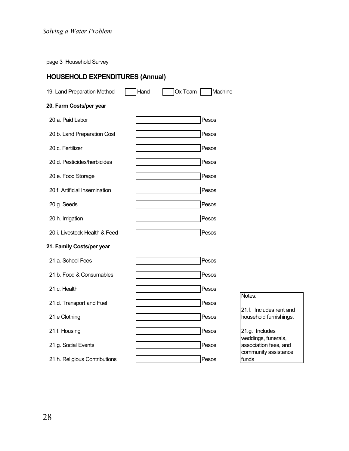page 3 Household Survey

| <b>HOUSEHOLD EXPENDITURES (Annual)</b> |      |                      |               |
|----------------------------------------|------|----------------------|---------------|
| 19. Land Preparation Method            | Hand | $Ox$ Team<br>Machine |               |
| 20. Farm Costs/per year                |      |                      |               |
| 20.a. Paid Labor                       |      | Pesos                |               |
| 20.b. Land Preparation Cost            |      | Pesos                |               |
| 20.c. Fertilizer                       |      | Pesos                |               |
| 20.d. Pesticides/herbicides            |      | Pesos                |               |
| 20.e. Food Storage                     |      | Pesos                |               |
| 20.f. Artificial Insemination          |      | Pesos                |               |
| 20.g. Seeds                            |      | Pesos                |               |
| 20.h. Irrigation                       |      | Pesos                |               |
| 20.i. Livestock Health & Feed          |      | Pesos                |               |
| 21. Family Costs/per year              |      |                      |               |
| 21.a. School Fees                      |      | Pesos                |               |
| 21.b. Food & Consumables               |      | Pesos                |               |
| 21.c. Health                           |      | Pesos                | <b>Notes</b>  |
| 21.d. Transport and Fuel               |      | Pesos                | 21.f.         |
| 21.e Clothing                          |      | Pesos                | house         |
| 21.f. Housing                          |      | Pesos                | 21.g.<br>wedd |
| 21.g. Social Events                    |      | Pesos                | assoc<br>comn |
| 21.h. Religious Contributions          |      | Pesos                | funds         |

Notes:

21.f. Includes rent and household furnishings.

 $21.g.$  Includes weddings, funerals, association fees, and community assistance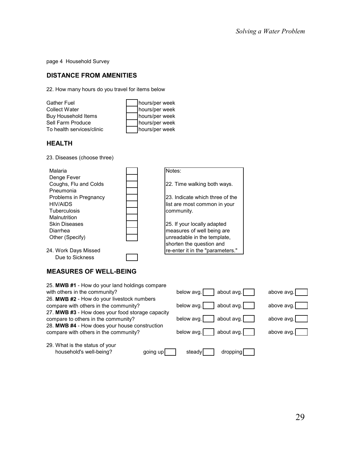page 4 Household Survey

#### **DISTANCE FROM AMENITIES**

22. How many hours do you travel for items below

| <b>Gather Fuel</b>         | hours/per week |
|----------------------------|----------------|
| Collect Water              | hours/per week |
| <b>Buy Household Items</b> | hours/per week |
| Sell Farm Produce          | hours/per week |
| To health services/clinic  | hours/per week |

![](_page_29_Figure_5.jpeg)

#### **HEALTH**

23. Diseases (choose three)

| Malaria               | Notes:                           |  |
|-----------------------|----------------------------------|--|
| Denge Fever           |                                  |  |
| Coughs, Flu and Colds | 22. Time walking both ways.      |  |
| Pneumonia             |                                  |  |
| Problems in Pregnancy | 23. Indicate which three of the  |  |
| <b>HIV/AIDS</b>       | list are most common in your     |  |
| <b>Tuberculosis</b>   | community.                       |  |
| Malnutrition          |                                  |  |
| <b>Skin Diseases</b>  | 25. If your locally adapted      |  |
| Diarrhea              | measures of well being are       |  |
| Other (Specify)       | unreadable in the template,      |  |
|                       | shorten the question and         |  |
| 24. Work Days Missed  | re-enter it in the "parameters." |  |
| Due to Sickness       |                                  |  |

#### **MEASURES OF WELL-BEING**

| 25. MWB #1 - How do your land holdings compare                                                                                           |           |            |            |            |
|------------------------------------------------------------------------------------------------------------------------------------------|-----------|------------|------------|------------|
| with others in the community?                                                                                                            |           | below avg. | about avg. | above avg. |
| 26. MWB #2 - How do your livestock numbers<br>compare with others in the community?                                                      |           | below avg. | about avg. | above avg. |
| 27. MWB #3 - How does your food storage capacity<br>compare to others in the community?<br>28. MWB #4 - How does your house construction |           | below avg. | about avg. | above avg. |
| compare with others in the community?                                                                                                    |           | below avg. | about avg. | above avg. |
| 29. What is the status of your<br>household's well-being?                                                                                | going up! | steady     | dropping   |            |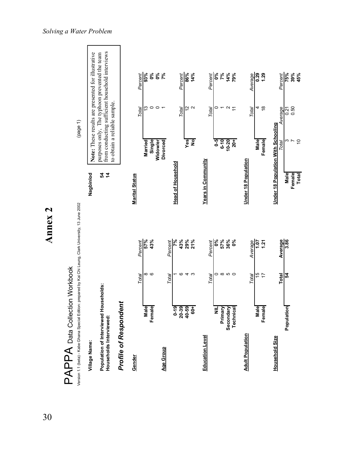|                    | (page 1)                                                                                                                                     | Note: These results are presented for illustrative | from conducting sufficient household interviews<br>purposes only, The typhoon prevented the team<br>to obtain a reliable sample. |                              |                       | Percent<br>Total | 0%<br>93%<br>చ                  | $\mathbf{0}^{\circ\circ}$<br>7%<br>$\circ$ $\circ$ $\sim$ |         |                                         | <b>86%</b><br>Percent<br>Total<br>Yes | 14%<br>$\frac{1}{2}$ $\alpha$<br>$\frac{1}{2}$ |                        | కి<br>Percent<br>Total<br>$\overline{6}$ | 0               | 7%<br>14%<br>79%<br>$\mathbf{\Omega}$ | $\overline{1}$                |                         | Average<br>Total | 1.29<br>0.29<br>$\frac{8}{1}$<br>4     |                                    | Percent<br>Average | 75%<br>0.50<br>0.21<br>ຕ N | $39%$<br>$45%$<br>$\tilde{a}$ |  |
|--------------------|----------------------------------------------------------------------------------------------------------------------------------------------|----------------------------------------------------|----------------------------------------------------------------------------------------------------------------------------------|------------------------------|-----------------------|------------------|---------------------------------|-----------------------------------------------------------|---------|-----------------------------------------|---------------------------------------|------------------------------------------------|------------------------|------------------------------------------|-----------------|---------------------------------------|-------------------------------|-------------------------|------------------|----------------------------------------|------------------------------------|--------------------|----------------------------|-------------------------------|--|
| Annex <sub>2</sub> |                                                                                                                                              | Nagbinlod                                          | $\frac{5}{4}$                                                                                                                    |                              | <b>Marital Status</b> | Percent          | Married<br>Single<br>43%<br>57% | Widowler<br><b>Divorced</b>                               | Percent | <b>Head of Household</b><br><b>گر</b> 2 | 43%<br>29%                            | 21%                                            | Years in Community     | కి<br>Percent                            | $6 - 10$<br>57% | $10 - 20$<br>36%                      | $20+$<br>$\mathbf{0}^{\circ}$ | Under 18 Population     | Average          | Female<br>Male<br>1.21<br>1.07         | Under 18 Population With Schooling | Total<br>Average   | Male<br>Female<br>3.86     | Total                         |  |
|                    | Version 1.1 (beta) - Kabe Ghana Special Edition: prepared by Kai Chi Leung, Clark University, 13 June 2002<br>PAPPA Data Collection Workbook | Village Name:                                      | Population of Interviewed Households:<br>Households Interviewed:                                                                 | <b>Profile of Respondent</b> |                       | Total            | ∞ ပ<br>Male<br>Female           |                                                           | Total   | $0 - 19$                                | $\circ$<br>20-39<br>40-59             | $4\,$ $\omega$<br>$60+$                        | <b>Education Level</b> | Total<br><b>NIL</b>                      | 0<br>Primary    | ∞ ၗ ဝ<br>Secondary                    | Technical                     | <b>Adult Population</b> | Total            | 49<br>$\overline{1}$<br>Male<br>Female | Household Size                     | <b>Total</b>       | r2<br>Population           |                               |  |
| 30                 |                                                                                                                                              |                                                    |                                                                                                                                  |                              | Gender                |                  |                                 | Age Group                                                 |         |                                         |                                       |                                                |                        |                                          |                 |                                       |                               |                         |                  |                                        |                                    |                    |                            |                               |  |

*Solving a Water Problem Solving a Water Problem*   $ve$ <br> $we$ <br> $ws$ 

 $\overline{\phantom{a}}$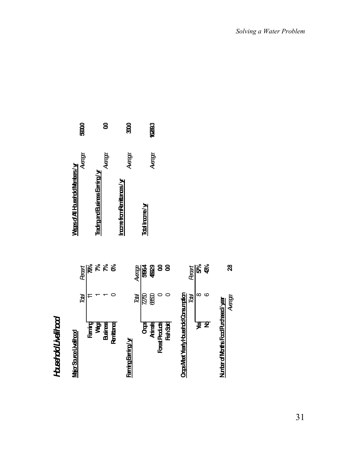# HuseholLivelihood *Household Livelihood*

# **Major Source Livelihood Major Source Livelihood**

| Perent |  |                       | ఠ           |  |
|--------|--|-----------------------|-------------|--|
| Tdal   |  |                       |             |  |
|        |  | <b>Paga</b><br>Bairas | <b>alem</b> |  |

# Faming Earring/yr

| tal Incon                    |                |            |                 |  |
|------------------------------|----------------|------------|-----------------|--|
| Aeag<br><b>SiSGA</b><br>4829 |                | 8          |                 |  |
| 7750<br>6850                 |                |            |                 |  |
| ළි                           | <b>Arinals</b> | est Produd | <u>යි</u><br>වි |  |

# Orgs Met Yenty Houshold Consumption **Crops Meet Yearly Household Consumption**

| PDL<br>$\overline{\phantom{a}}$ | $\circ$ |
|---------------------------------|---------|
|                                 |         |
|                                 | 2       |

# Nunter of Months Food Pucked/year **Number of Months Food Purchased / year**

*Average:* **2.**

**8**

| Majo Source Livelinox |       |         | Vepsof All Househol Members/yr   |         |
|-----------------------|-------|---------|----------------------------------|---------|
|                       | विव   | Percent | Aeage                            | 5900.0  |
| Faming                |       |         |                                  |         |
| <b>Nege</b>           |       | ಸ್ಥೆ    | <b>Tradigard Busines Earning</b> |         |
| <b>Business</b>       |       | ಸ್ಥೆ    | Aeage                            | පි      |
| <b>Remittance</b>     |       | వ       |                                  |         |
|                       |       |         | corretironnemitances             |         |
| FamingEam             |       |         | Aeage                            | amo     |
|                       | Tdal  | Aeage   |                                  |         |
| <b>Opp</b>            | 72750 | 51964   | Total Incorne/                   |         |
| <b>Arinals</b>        | æo    | 4829    | Aeage                            | 16289.3 |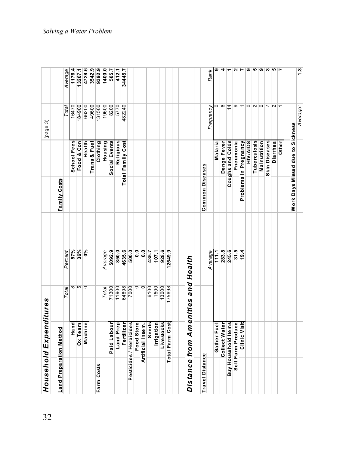| <b>Land Preparation Method</b> |                                          |                    |                                                   | Family Costs           |                                  |                          |            |
|--------------------------------|------------------------------------------|--------------------|---------------------------------------------------|------------------------|----------------------------------|--------------------------|------------|
|                                |                                          | Total              | Percent                                           |                        |                                  | Total                    | Average    |
|                                | Hand                                     |                    | 57%                                               |                        | School Fees                      | 16470                    | 1176.4     |
|                                | Ox Team                                  | ∞∣ທ∣໐              | 36%                                               |                        | Food & Con                       | 184900                   | 13207.1    |
|                                | Machine                                  |                    | $0\%$                                             |                        | Health                           | 66200                    | 4728.6     |
|                                |                                          |                    |                                                   |                        | Trans & Fuel                     | 49600                    | 3542.9     |
| Farm Costs                     |                                          |                    |                                                   |                        | Clothing                         | 131500                   | 9392.9     |
|                                |                                          | Total              | Average                                           |                        | Housing                          | 19600                    | 1400.0     |
|                                | Paid Labour                              | 71300              | 5092.9                                            |                        | Social Events                    | 8200                     | 585.7      |
|                                | Land Prep                                | 11900              | 850.0                                             |                        | Religious                        | 5770                     | 412.1      |
|                                | Fertilizer                               | 64898              | 4635.6                                            |                        | <b>Total Family Cost</b>         | 482240                   | 34445.7    |
|                                | Pesticides / Herbicides                  | 7000               | 500.0                                             |                        |                                  |                          |            |
|                                | Food Store                               | $\circ$            | $\overline{0}$ .                                  |                        |                                  |                          |            |
|                                | Artificial Insem.                        | $\circ$            | $\overline{\mathbf{0}}$ . $\overline{\mathbf{0}}$ |                        |                                  |                          |            |
|                                | Seeds                                    | 6100               | 435.7                                             |                        |                                  |                          |            |
|                                | Irrigation                               | 1500               | 107.1                                             |                        |                                  |                          |            |
|                                | Livestocks                               | 13000              | 928.6                                             |                        |                                  |                          |            |
|                                | Total Farm Cost                          | 175698             | 12549.9                                           |                        |                                  |                          |            |
|                                |                                          |                    |                                                   |                        |                                  |                          |            |
| Distance from                  | Am                                       | enities and Health |                                                   |                        |                                  |                          |            |
| Travel Distance                |                                          |                    |                                                   | <b>Common Diseases</b> |                                  |                          |            |
|                                |                                          |                    | Average                                           |                        |                                  | Frequency                | Rank       |
|                                | Gather Fue                               |                    | 111.1                                             |                        | Malaria                          | 0                        |            |
|                                | <b>Collect Water</b>                     |                    | 283.8                                             |                        | Denge Fever                      | ဖ                        |            |
|                                |                                          |                    | 245.6                                             |                        | Coughs and Colds                 | $\overline{4}$           |            |
|                                | Buy Household Items<br>Sell Farm Produce |                    | 31.5                                              |                        | Pneumonia                        | ത $\vert - \vert$        |            |
|                                | <b>Clinic Visi</b>                       |                    | 19.4                                              |                        | Problems in Pregnancy            |                          |            |
|                                |                                          |                    |                                                   |                        | <b>HIV/AIDS</b>                  |                          |            |
|                                |                                          |                    |                                                   |                        | <b>Tuberculosis</b>              | $\circ$ No               |            |
|                                |                                          |                    |                                                   |                        | Mainutrition                     |                          |            |
|                                |                                          |                    |                                                   |                        | <b>Skin Diseases</b>             | $\overline{\phantom{a}}$ |            |
|                                |                                          |                    |                                                   |                        | Diarrhea                         | $\frac{1}{2}$            |            |
|                                |                                          |                    |                                                   |                        | Other                            |                          |            |
|                                |                                          |                    |                                                   |                        |                                  |                          |            |
|                                |                                          |                    |                                                   |                        | Work Days Missed due to Sickness |                          |            |
|                                |                                          |                    |                                                   |                        |                                  |                          | $\ddot{.}$ |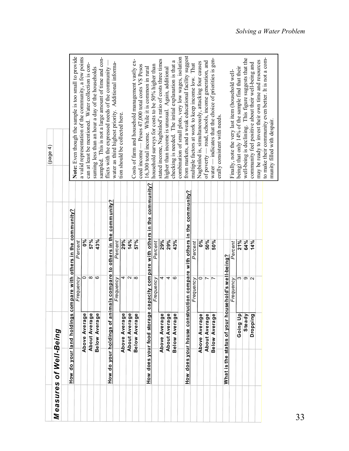| Frequency<br>Frequency<br>do your holdings of ani<br>How does your food storage<br>Below Average<br>Above Average<br>About Average<br>About Average<br>Below Average<br>Above Average<br>How do your land holdings<br>About Average<br><b>Below Average</b><br>Above Average<br>How | compare with others in the community?<br>Percent<br>Percent<br>mals compare to<br>$\infty$<br>∣అ<br>0<br>ব ∣∾ ∣∞<br>Frequency | capacity compare with others in the community?<br>others in the community?<br>$\frac{5}{6}$<br>57%<br>43%<br>29%<br>14%<br>57% | Note: Even though the sample is too small to provide<br>a valid representation of the community, a few points<br>can at least be mentioned. Water collection is con-<br>suming less than an hour a day of the households |
|-------------------------------------------------------------------------------------------------------------------------------------------------------------------------------------------------------------------------------------------------------------------------------------|-------------------------------------------------------------------------------------------------------------------------------|--------------------------------------------------------------------------------------------------------------------------------|--------------------------------------------------------------------------------------------------------------------------------------------------------------------------------------------------------------------------|
|                                                                                                                                                                                                                                                                                     |                                                                                                                               |                                                                                                                                |                                                                                                                                                                                                                          |
|                                                                                                                                                                                                                                                                                     |                                                                                                                               |                                                                                                                                |                                                                                                                                                                                                                          |
|                                                                                                                                                                                                                                                                                     |                                                                                                                               |                                                                                                                                |                                                                                                                                                                                                                          |
|                                                                                                                                                                                                                                                                                     |                                                                                                                               |                                                                                                                                |                                                                                                                                                                                                                          |
|                                                                                                                                                                                                                                                                                     |                                                                                                                               |                                                                                                                                | sampled. This is not a large amount of time and con-                                                                                                                                                                     |
|                                                                                                                                                                                                                                                                                     |                                                                                                                               |                                                                                                                                | flicts with the expressed needs of the community                                                                                                                                                                         |
|                                                                                                                                                                                                                                                                                     |                                                                                                                               |                                                                                                                                | water as third highest priority. Additional informa-                                                                                                                                                                     |
|                                                                                                                                                                                                                                                                                     |                                                                                                                               |                                                                                                                                | tion should be collected here.                                                                                                                                                                                           |
|                                                                                                                                                                                                                                                                                     |                                                                                                                               |                                                                                                                                |                                                                                                                                                                                                                          |
|                                                                                                                                                                                                                                                                                     |                                                                                                                               |                                                                                                                                | Costs of farm and household management vastly ex-                                                                                                                                                                        |
|                                                                                                                                                                                                                                                                                     |                                                                                                                               |                                                                                                                                | ceed income - Pesos 47,000 total costs VS Pesos                                                                                                                                                                          |
|                                                                                                                                                                                                                                                                                     |                                                                                                                               |                                                                                                                                | 16,300 total income. While it is common in rural                                                                                                                                                                         |
|                                                                                                                                                                                                                                                                                     | Percent                                                                                                                       |                                                                                                                                | household surveys for costs to be 50% higher than                                                                                                                                                                        |
|                                                                                                                                                                                                                                                                                     | 4                                                                                                                             | 29%                                                                                                                            | stated income, Nagbinlod's ratio of costs three times                                                                                                                                                                    |
|                                                                                                                                                                                                                                                                                     | 4                                                                                                                             | 29%                                                                                                                            | higher than income is unusual. Again, additional                                                                                                                                                                         |
|                                                                                                                                                                                                                                                                                     | ဖ                                                                                                                             | 43%                                                                                                                            | checking is needed. The initial explanation is that a                                                                                                                                                                    |
|                                                                                                                                                                                                                                                                                     |                                                                                                                               |                                                                                                                                | combination of small plots, very low wages, isolation                                                                                                                                                                    |
| does your house constr<br>흶                                                                                                                                                                                                                                                         |                                                                                                                               | uction compare with others in the community?                                                                                   | from markets, and a weak educational facility suggest                                                                                                                                                                    |
| Frequency                                                                                                                                                                                                                                                                           | Percent                                                                                                                       |                                                                                                                                | multiple factors at work to keep income low. That                                                                                                                                                                        |
| Above Average                                                                                                                                                                                                                                                                       | 0                                                                                                                             | $\frac{5}{6}$                                                                                                                  | Nagbinlod is, simultaneously, attacking four causes                                                                                                                                                                      |
| About Average                                                                                                                                                                                                                                                                       | $\sim$ $\sim$                                                                                                                 | 50%                                                                                                                            | of poverty — road, schools, income generation, and                                                                                                                                                                       |
| Below Average                                                                                                                                                                                                                                                                       |                                                                                                                               | 50%                                                                                                                            | water — indicates that the choice of priorities is gen-                                                                                                                                                                  |
|                                                                                                                                                                                                                                                                                     |                                                                                                                               |                                                                                                                                | erally consistent with needs.                                                                                                                                                                                            |
| What is the status of your ho                                                                                                                                                                                                                                                       | usehold's well-being?                                                                                                         |                                                                                                                                |                                                                                                                                                                                                                          |
| Frequency                                                                                                                                                                                                                                                                           | Percent                                                                                                                       |                                                                                                                                | Finally, note the very last item (household well-                                                                                                                                                                        |
| Going Up                                                                                                                                                                                                                                                                            | ణ∣                                                                                                                            | 21%                                                                                                                            | being) that only 14% of the sample find that their                                                                                                                                                                       |
| Steady                                                                                                                                                                                                                                                                              | ത $\vert$ N                                                                                                                   | 64%                                                                                                                            | well-being is declining. This figure suggests that the                                                                                                                                                                   |
| Dropping                                                                                                                                                                                                                                                                            |                                                                                                                               | 14%                                                                                                                            | community feel positive about their well-being and                                                                                                                                                                       |
|                                                                                                                                                                                                                                                                                     |                                                                                                                               |                                                                                                                                | may be ready to invest their own time and resources                                                                                                                                                                      |
|                                                                                                                                                                                                                                                                                     |                                                                                                                               |                                                                                                                                | to make their community even better. It is not a com-                                                                                                                                                                    |
|                                                                                                                                                                                                                                                                                     |                                                                                                                               |                                                                                                                                | munity filled with despair.                                                                                                                                                                                              |
|                                                                                                                                                                                                                                                                                     |                                                                                                                               |                                                                                                                                |                                                                                                                                                                                                                          |
|                                                                                                                                                                                                                                                                                     |                                                                                                                               |                                                                                                                                |                                                                                                                                                                                                                          |
|                                                                                                                                                                                                                                                                                     |                                                                                                                               |                                                                                                                                |                                                                                                                                                                                                                          |
|                                                                                                                                                                                                                                                                                     |                                                                                                                               |                                                                                                                                |                                                                                                                                                                                                                          |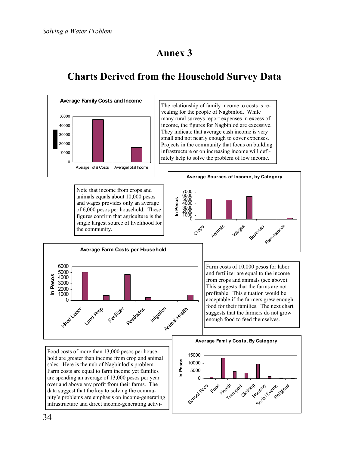## **Annex 3**

## **Charts Derived from the Household Survey Data**

**In Pesos**

n Pesos

![](_page_34_Figure_3.jpeg)

The relationship of family income to costs is revealing for the people of Nagbinlod. While many rural surveys report expenses in excess of income, the figures for Nagbinlod are excessive. They indicate that average cash income is very small and not nearly enough to cover expenses. Projects in the community that focus on building infrastructure or on increasing income will definitely help to solve the problem of low income.

Note that income from crops and animals equals about 10,000 pesos and wages provides only an average of 6,000 pesos per household. These figures confirm that agriculture is the single largest source of livelihood for the community.

**Average Farm Costs per Household**

![](_page_34_Figure_6.jpeg)

from crops and animals (see above). This suggests that the farms are not profitable. This situation would be acceptable if the farmers grew enough food for their families. The next chart suggests that the farmers do not grow enough food to feed themselves.

Food costs of more than 13,000 pesos per household are greater than income from crop and animal sales. Here is the nub of Nagbinlod's problem. Farm costs are equal to farm income yet families are spending an average of 13,000 pesos per year over and above any profit from their farms. The data suggest that the key to solving the community's problems are emphasis on income-generating infrastructure and direct income-generating activi-

Fertilizer

Pesticides

Irrigation

Animal Health

![](_page_34_Figure_9.jpeg)

**In Pesos**

In Pesos

**Hired Labor** 

land PreeP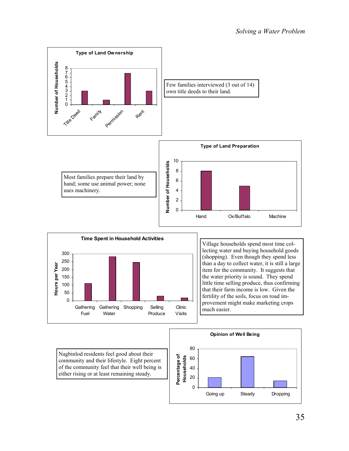![](_page_35_Figure_1.jpeg)